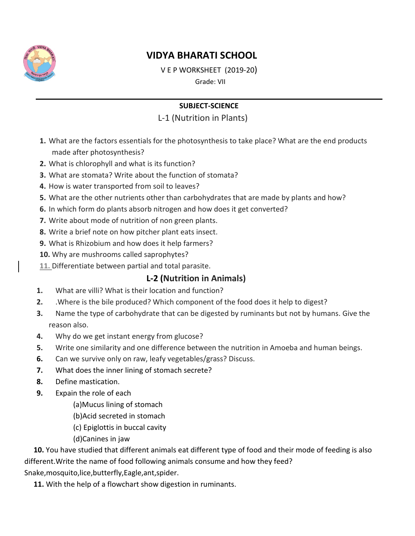

# **VIDYA BHARATI SCHOOL**

V E P WORKSHEET  $(2019-20)$ 

Grade: VII

# **SUBJECT-SCIENCE**

# L-1 (Nutrition in Plants)

- 1. What are the factors essentials for the photosynthesis to take place? What are the end products made after photosynthesis?
- 2. What is chlorophyll and what is its function?
- 3. What are stomata? Write about the function of stomata?
- 4. How is water transported from soil to leaves?
- 5. What are the other nutrients other than carbohydrates that are made by plants and how?
- 6. In which form do plants absorb nitrogen and how does it get converted?
- 7. Write about mode of nutrition of non green plants.
- 8. Write a brief note on how pitcher plant eats insect.
- 9. What is Rhizobium and how does it help farmers?
- 10. Why are mushrooms called saprophytes?
- 11. Differentiate between partial and total parasite.

# L-2 (Nutrition in Animals)

- What are villi? What is their location and function?  $1.$
- $2.$ .Where is the bile produced? Which component of the food does it help to digest?
- $3.$ Name the type of carbohydrate that can be digested by ruminants but not by humans. Give the reason also.
- Why do we get instant energy from glucose? 4.
- 5. Write one similarity and one difference between the nutrition in Amoeba and human beings.
- Can we survive only on raw, leafy vegetables/grass? Discuss. 6.
- $7.$ What does the inner lining of stomach secrete?
- Define mastication. 8.
- 9. Expain the role of each
	- (a) Mucus lining of stomach
	- (b)Acid secreted in stomach
	- (c) Epiglottis in buccal cavity
	- (d)Canines in jaw

10. You have studied that different animals eat different type of food and their mode of feeding is also different. Write the name of food following animals consume and how they feed? Snake, mosquito, lice, butterfly, Eagle, ant, spider.

11. With the help of a flowchart show digestion in ruminants.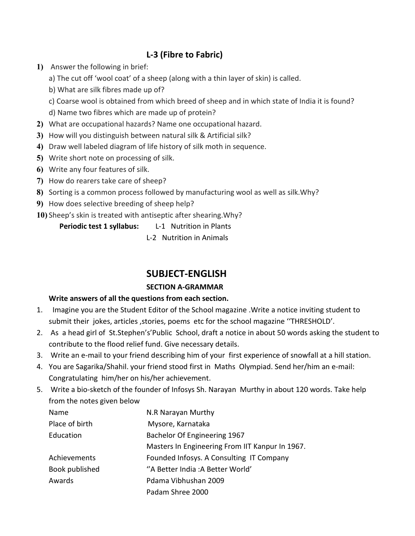# L-3 (Fibre to Fabric)

- 1) Answer the following in brief:
	- a) The cut off 'wool coat' of a sheep (along with a thin layer of skin) is called.
	- b) What are silk fibres made up of?
	- c) Coarse wool is obtained from which breed of sheep and in which state of India it is found?
	- d) Name two fibres which are made up of protein?
- 2) What are occupational hazards? Name one occupational hazard.
- 3) How will you distinguish between natural silk & Artificial silk?
- 4) Draw well labeled diagram of life history of silk moth in sequence.
- 5) Write short note on processing of silk.
- 6) Write any four features of silk.
- 7) How do rearers take care of sheep?
- 8) Sorting is a common process followed by manufacturing wool as well as silk. Why?
- 9) How does selective breeding of sheep help?
- 10) Sheep's skin is treated with antiseptic after shearing. Why?

Periodic test 1 syllabus: L-1 Nutrition in Plants

L-2 Nutrition in Animals

# **SUBJECT-ENGLISH**

# **SECTION A-GRAMMAR**

### Write answers of all the questions from each section.

- 1. Imagine you are the Student Editor of the School magazine . Write a notice inviting student to submit their jokes, articles, stories, poems etc for the school magazine "THRESHOLD'.
- 2. As a head girl of St. Stephen's' Public School, draft a notice in about 50 words asking the student to contribute to the flood relief fund. Give necessary details.
- 3. Write an e-mail to your friend describing him of your first experience of snowfall at a hill station.
- 4. You are Sagarika/Shahil. your friend stood first in Maths Olympiad. Send her/him an e-mail: Congratulating him/her on his/her achievement.
- 5. Write a bio-sketch of the founder of Infosys Sh. Narayan Murthy in about 120 words. Take help from the notes given below

| <b>Name</b>    | N.R Narayan Murthy                              |
|----------------|-------------------------------------------------|
| Place of birth | Mysore, Karnataka                               |
| Education      | Bachelor Of Engineering 1967                    |
|                | Masters In Engineering From IIT Kanpur In 1967. |
| Achievements   | Founded Infosys. A Consulting IT Company        |
| Book published | "A Better India: A Better World"                |
| Awards         | Pdama Vibhushan 2009                            |
|                | Padam Shree 2000                                |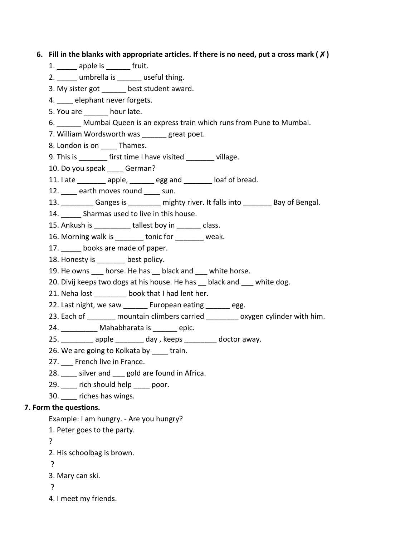### 6. Fill in the blanks with appropriate articles. If there is no need, put a cross mark ( $\chi$ )

- 1. \_\_\_\_\_\_ apple is \_\_\_\_\_\_\_ fruit.
- 2. umbrella is useful thing.
- 3. My sister got \_\_\_\_\_\_ best student award.
- 4. elephant never forgets.
- 5. You are hour late.
- 6. Mumbai Queen is an express train which runs from Pune to Mumbai.
- 7. William Wordsworth was great poet.
- 8. London is on \_\_\_\_\_ Thames.
- 9. This is first time I have visited village.
- 10. Do you speak German?
- 11. late \_\_\_\_\_\_\_\_ apple, \_\_\_\_\_\_ egg and \_\_\_\_\_\_\_ loaf of bread.
- 12. \_\_\_\_ earth moves round \_\_\_\_ sun.
- 13. \_\_\_\_\_\_\_\_\_\_\_ Ganges is \_\_\_\_\_\_\_\_\_\_ mighty river. It falls into \_\_\_\_\_\_\_\_\_ Bay of Bengal.
- 14. Sharmas used to live in this house.
- 15. Ankush is \_\_\_\_\_\_\_\_\_\_\_ tallest boy in \_\_\_\_\_\_\_ class.
- 16. Morning walk is tonic for weak.
- 17. books are made of paper.
- 18. Honesty is best policy.
- 19. He owns horse. He has black and white horse.
- 20. Divij keeps two dogs at his house. He has black and white dog.
- 21. Neha lost \_\_\_\_\_\_\_\_\_ book that I had lent her.
- 22. Last night, we saw \_\_\_\_\_\_ European eating \_\_\_\_\_\_ egg.
- 23. Each of mountain climbers carried oxygen cylinder with him.
- 24. Mahabharata is epic.
- 25. apple day, keeps doctor away.
- 26. We are going to Kolkata by train.
- 27. French live in France.
- 28. silver and gold are found in Africa.
- 29. rich should help poor.
- 30. \_\_\_\_ riches has wings.

#### 7. Form the questions.

- Example: I am hungry. Are you hungry?
- 1. Peter goes to the party.
- ?
- 2. His schoolbag is brown.
- $\overline{?}$
- 3. Mary can ski.
- $\mathsf{P}$
- 4. I meet my friends.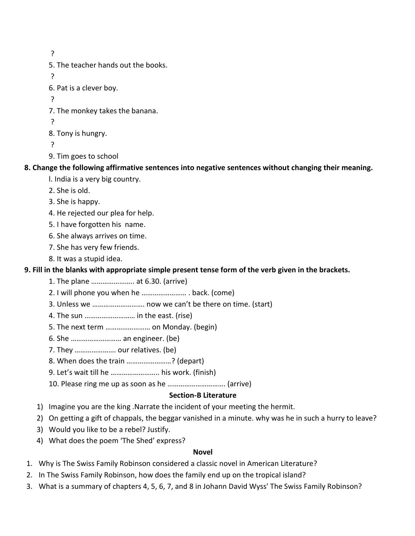$\overline{?}$ 5. The teacher hands out the books.  $\overline{?}$ 6. Pat is a clever boy.  $\overline{?}$ 7. The monkey takes the banana.  $\overline{P}$ 8. Tony is hungry.  $\mathbf{P}$ 9. Tim goes to school

#### 8. Change the following affirmative sentences into negative sentences without changing their meaning.

- I. India is a very big country.
- 2. She is old.
- 3. She is happy.
- 4. He rejected our plea for help.
- 5. I have forgotten his name.
- 6. She always arrives on time.
- 7. She has very few friends.
- 8. It was a stupid idea.

### 9. Fill in the blanks with appropriate simple present tense form of the verb given in the brackets.

- 1. The plane ....................... at 6.30. (arrive)
- 2. I will phone you when he .............................. back. (come)
- 3. Unless we ................................ now we can't be there on time. (start)
- 4. The sun ............................. in the east. (rise)
- 5. The next term ........................ on Monday. (begin)
- 6. She ............................... an engineer. (be)
- 7. They ...................... our relatives. (be)
- 8. When does the train .......................? (depart)
- 9. Let's wait till he ............................ his work. (finish)
- 

#### **Section-B Literature**

- 1) Imagine you are the king .Narrate the incident of your meeting the hermit.
- 2) On getting a gift of chappals, the beggar vanished in a minute. why was he in such a hurry to leave?
- 3) Would you like to be a rebel? Justify.
- 4) What does the poem 'The Shed' express?

#### **Novel**

- 1. Why is The Swiss Family Robinson considered a classic novel in American Literature?
- 2. In The Swiss Family Robinson, how does the family end up on the tropical island?
- 3. What is a summary of chapters 4, 5, 6, 7, and 8 in Johann David Wyss' The Swiss Family Robinson?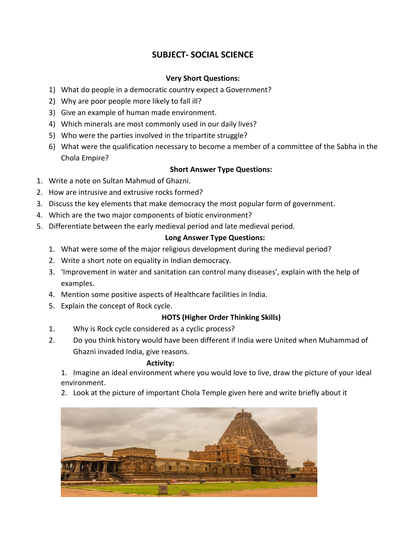# **SUBJECT- SOCIAL SCIENCE**

### **Very Short Questions:**

- 1) What do people in a democratic country expect a Government?
- 2) Why are poor people more likely to fall ill?
- 3) Give an example of human made environment.
- 4) Which minerals are most commonly used in our daily lives?
- 5) Who were the parties involved in the tripartite struggle?
- 6) What were the qualification necessary to become a member of a committee of the Sabha in the Chola Empire?

#### **Short Answer Type Questions:**

- 1. Write a note on Sultan Mahmud of Ghazni.
- 2. How are intrusive and extrusive rocks formed?
- 3. Discuss the key elements that make democracy the most popular form of government.
- 4. Which are the two major components of biotic environment?
- 5. Differentiate between the early medieval period and late medieval period.

#### **Long Answer Type Questions:**

- 1. What were some of the major religious development during the medieval period?
- 2. Write a short note on equality in Indian democracy.
- 3. Improvement in water and sanitation can control many diseases', explain with the help of examples.
- 4. Mention some positive aspects of Healthcare facilities in India.
- 5. Explain the concept of Rock cycle.

#### **HOTS (Higher Order Thinking Skills)**

- Why is Rock cycle considered as a cyclic process?  $1<sub>1</sub>$
- $2.$ Do you think history would have been different if India were United when Muhammad of Ghazni invaded India, give reasons.

#### **Activity:**

1. Imagine an ideal environment where you would love to live, draw the picture of your ideal environment.

2. Look at the picture of important Chola Temple given here and write briefly about it

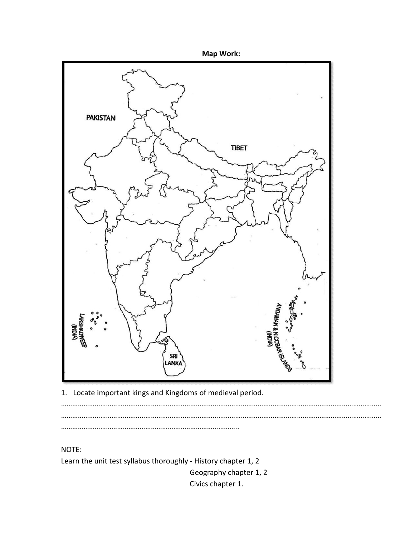



Locate important kings and Kingdoms of medieval period.  $1.$ 

 $\ddotsc$ 

NOTE:

Learn the unit test syllabus thoroughly - History chapter 1, 2

Geography chapter 1, 2 Civics chapter 1.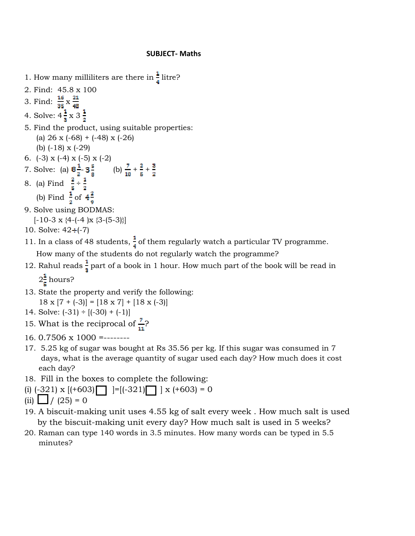1. How many milliliters are there in  $\frac{1}{4}$  litre? 2. Find: 45.8 x 100 3. Find:  $\frac{16}{35} \times \frac{21}{48}$ 4. Solve:  $4\frac{1}{8} \times 3\frac{1}{2}$ 5. Find the product, using suitable properties: (a)  $26 \times (-68) + (-48) \times (-26)$ (b)  $(-18)$  x  $(-29)$ 6.  $(-3) \times (-4) \times (-5) \times (-2)$ 7. Solve: (a)  $8\frac{1}{2}$  -  $3\frac{5}{8}$  (b)  $\frac{7}{10}$  +  $\frac{2}{5}$  +  $\frac{3}{2}$ <br>8. (a) Find  $\frac{2}{5} \div \frac{1}{2}$ <br>(b) Find  $\frac{1}{2}$  of  $4\frac{2}{9}$ 9. Solve using BODMAS:  $[-10-3 \times \{4-(-4) \times \{3-(5-3)\}]$ 10. Solve:  $42 \div (-7)$ 11. In a class of 48 students,  $\frac{1}{4}$  of them regularly watch a particular TV programme. How many of the students do not regularly watch the programme?

12. Rahul reads  $\frac{1}{3}$  part of a book in 1 hour. How much part of the book will be read in

 $2\frac{1}{5}$  hours?

- 13. State the property and verify the following:  $18 \times [7 + (-3)] = [18 \times 7] + [18 \times (-3)]$
- 14. Solve:  $(-31) \div [(-30) + (-1)]$
- 15. What is the reciprocal of  $\frac{7}{11}$ ?
- 16.  $0.7506 \times 1000$  =--------
- 17. 5.25 kg of sugar was bought at Rs 35.56 per kg. If this sugar was consumed in 7 days, what is the average quantity of sugar used each day? How much does it cost each day?
- 18. Fill in the boxes to complete the following:
- (i)  $(-321)$  x  $[ (+603)$   $] = [ (-321)$   $]$  x  $(+603) = 0$
- (ii)  $\Box$  / (25) = 0
- 19. A biscuit-making unit uses 4.55 kg of salt every week. How much salt is used by the biscuit-making unit every day? How much salt is used in 5 weeks?
- 20. Raman can type 140 words in 3.5 minutes. How many words can be typed in 5.5 minutes?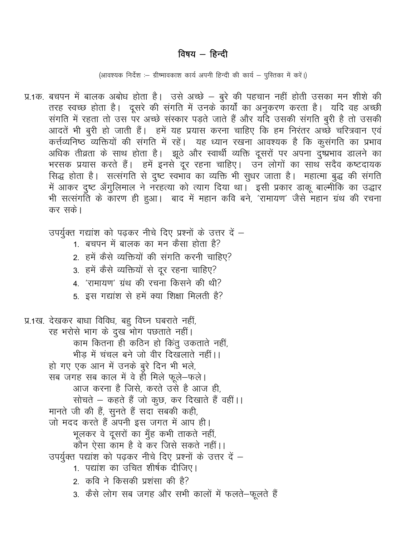# विषय - हिन्दी

(आवश्यक निर्देश :- ग्रीष्मावकाश कार्य अपनी हिन्दी की कार्य - पुस्तिका में करें।)

- प्र.1क. बचपन में बालक अबोध होता है। उसे अच्छे बुरे की पहचान नहीं होती उसका मन शीशे की तरह स्वच्छ होता है। दूसरे की संगति में उनके कार्यों का अनुकरण करता है। यदि वह अच्छी संगति में रहता तो उस पर अच्छे संस्कार पड़ते जाते हैं और यदि उसकी संगति बूरी है तो उसकी आदतें भी बूरी हो जाती हैं। हमें यह प्रयास करना चाहिए कि हम निरंतर अच्छे चरित्रवान एवं कर्त्तव्यनिष्ठ व्यक्तियों की संगति में रहें। यह ध्यान रखना आवश्यक है कि कुसंगति का प्रभाव अधिक तीव्रता के साथ होता है। झूठे और स्वार्थी व्यक्ति दूसरों पर अपना दुष्प्रभाव डालने का भरसक प्रयास करते हैं। हमें इनसे दूर रहना चाहिए। उन लोगों का साथ सदैव कष्टदायक सिद्ध होता है। सत्संगति से दुष्ट स्वभाव का व्यक्ति भी सुधर जाता है। महात्मा बुद्ध की संगति में आकर दुष्ट अँगुलिमाल ने नरहत्या को त्याग दिया था। इसी प्रकार डाकू बाल्मीकि का उद्धार भी सत्संगति के कारण ही हुआ। बाद में महान कवि बने, 'रामायण' जैसे महान ग्रंथ की रचना कर सके।
	- उपर्युक्त गद्यांश को पढ़कर नीचे दिए प्रश्नों के उत्तर दें -
		- 1. बचपन में बालक का मन कैसा होता है?
		- 2. हमें कैसे व्यक्तियों की संगति करनी चाहिए?
		- 3. हमें कैसे व्यक्तियों से दूर रहना चाहिए?
		- 4. 'रामायण' ग्रंथ की रचना किसने की थी?
		- 5. इस गद्यांश से हमें क्या शिक्षा मिलती है?

प्र.1ख. देखकर बाधा विविध, बहू विघ्न घबराते नहीं, रह भरोसे भाग के दुख भोग पछताते नहीं। काम कितना ही कठिन हो किंतू उकताते नहीं, भीड़ में चंचल बने जो वीर दिखलाते नहीं।। हो गए एक आन में उनके बुरे दिन भी भले, सब जगह सब काल में वे ही मिले फूले-फले। आज करना है जिसे, करते उसे है आज ही, सोचते – कहते हैं जो कुछ, कर दिखाते हैं वहीं।। मानते जी की हैं, सुनते हैं सदा सबकी कही, जो मदद करते हैं अपनी इस जगत में आप ही। भूलकर वे दूसरों का मुँह कभी ताकते नहीं, कौन ऐसा काम है वे कर जिसे सकते नहीं।। उपर्युक्त पद्यांश को पढ़कर नीचे दिए प्रश्नों के उत्तर दें – 1 पद्यांश का उचित शीर्षक दीजिए। 2. कवि ने किसकी प्रशंसा की है? 3. कैसे लोग सब जगह और सभी कालों में फलते-फूलते हैं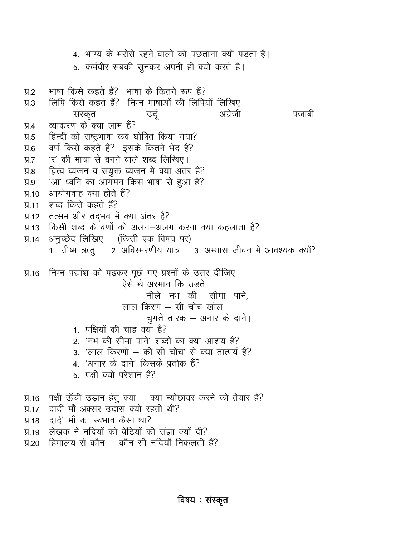4. भाग्य के भरोसे रहने वालों को पछताना क्यों पडता है। 5. कर्मवीर सबकी सुनकर अपनी ही क्यों करते हैं। भाषा किसे कहते हैं? भाषा के कितने रूप हैं?  $9.2$ लिपि किसे कहते हैं? निम्न भाषाओं की लिपियाँ लिखिए –  $\Psi$ .3 उर्द अंग्रेजी पंजाबी संस्कृत व्याकरण के क्या लाभ हैं? У.4 हिन्दी को राष्ट्रभाषा कब घोषित किया गया?  $9.5$ वर्ण किसे कहते हैं? इसके कितने भेद हैं?  $9.6$ 'र' की मात्रा से बनने वाले शब्द लिखिए।  $9.7$ द्वित्व व्यंजन व संयुक्त व्यंजन में क्या अंतर है?  $9.8$ 'आ' ध्वनि का आगमन किस भाषा से हुआ है?  $9.9$ आयोगवाह क्या होते हैं?  $\Pi$ .10 शब्द किसे कहते हैं?  $\Pi$ .11 प्र.12 तत्सम और तदभव में क्या अंतर है? किसी शब्द के वर्णों को अलग-अलग करना क्या कहलाता है?  $\Pi$ .13 अनुच्छेद लिखिए – (किसी एक विषय पर)  $\Psi$ .14 1. ग्रीष्म ऋतु 2. अविस्मरणीय यात्रा 3. अभ्यास जीवन में आवश्यक क्यों? निम्न पद्यांश को पढ़कर पूछे गए प्रश्नों के उत्तर दीजिए —  $\Pi$ .16 ऐसे थे अरमान कि उड़ते नीले नभ की सीमा पाने. लाल किरण - सी चोंच खोल चुगते तारक – अनार के दाने। 1. पक्षियों की चाह क्या है? 2. 'नभ की सीमा पाने' शब्दों का क्या आशय है? 3. 'लाल किरणों – की सी चोंच' से क्या तात्पर्य है? 4. 'अनार के दाने' किसके प्रतीक हैं? 5. पक्षी क्यों परेशान है? प्र.16 पक्षी ऊँची उड़ान हेतु क्या – क्या न्योछावर करने को तैयार है? दादी माँ अक्सर उदास क्यों रहती थी?  $\P$  17 दादी माँ का स्वभाव कैसा था?  $\Psi$ .18 लेखक ने नदियों को बेटियों की संज्ञा क्यों दी?  $\Pi$ .19 हिमालय से कौन — कौन सी नदियाँ निकलती हैं?  $\Psi$ .20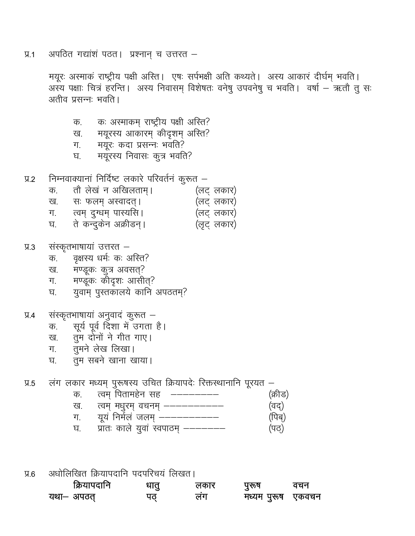अपठित गद्यांशं पठत। प्रश्नान् च उत्तरत –  $\Psi$ .1

> मयूरः अस्माकं राष्ट्रीय पक्षी अस्ति । एषः सर्पभक्षी अति कथ्यते । अस्य आकारं दीर्घम् भवति । अस्य पक्षाः चित्रं हरन्ति । अस्य निवासम् विशेषतः वनेषु उपवनेषु च भवति । वर्षा – ऋतौ तु सः अतीव प्रसन्नः भवति ।

- कः अस्माकम् राष्ट्रीय पक्षी अस्ति? क.
- मयूरस्य आकारम् कीदृशम् अस्ति? ख.
- मयूरः कदा प्रसन्नः भवति? ग.
- मयूरस्य निवासः कूत्र भवति? घ.
- निम्नवाक्यानां निर्दिष्ट लकारे परिवर्तनं कुरूत  $9.2$ 
	- तौ लेखं न अखिलताम्। (लट् लकार) क.
	- (लट् लकार) ख. सः फलम् अस्वादत् ।
	- त्वम् दुग्धम् पास्यसि। (लट् लकार) ग. ।
	- ते कन्दुकेन अक्रीडन्। घ. (लूट् लकार)
- संस्कृतभाषायां उत्तरत  $\Pi$ .3
	- वृक्षस्य धर्मः कः अस्ति? क.
	- मण्डूकः कूत्र अवसत्? ख.
	- मण्डूल: कोदृश: आसीत्? ग. -
	- युवाम् पुस्तकालये कानि अपठतम्? घ.
- संस्कृतभाषायां अनुवादं कुरूत - $9.4$ 
	- सूर्य पूर्व दिशा में उगता है। क.
	- तुम दोनों ने गीत गाए। ख.
	- तुमने लेख लिखा। ग.
	- तुम सबने खाना खाया। घ.
- लंग लकार मध्यम् पुरूषस्य उचित क्रियापदेः रिक्तस्थानानि पूरयत  $\Pi.5$ 
	- त्वम पितामहेन सह (क्रीड) क.
	- (वद्) ख.
	- ग. (पिब्)
	- प्रातः काले युवां स्वपाठम् ––––––– घ. (पठ)
- अधोलिखित क्रियापदानि पदपरिचयं लिखत।  $9.6$

| क्रियापदानि | धातु | लकार | पुरूष       | वचन   |
|-------------|------|------|-------------|-------|
| यथा– अपठत   |      | लग   | मध्यम पुरूष | एकवचन |